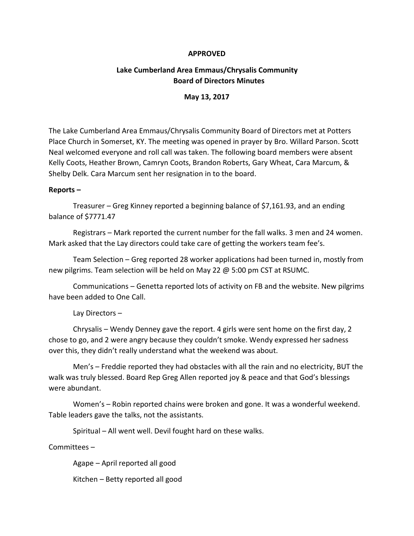## **APPROVED**

# **Lake Cumberland Area Emmaus/Chrysalis Community Board of Directors Minutes**

## **May 13, 2017**

The Lake Cumberland Area Emmaus/Chrysalis Community Board of Directors met at Potters Place Church in Somerset, KY. The meeting was opened in prayer by Bro. Willard Parson. Scott Neal welcomed everyone and roll call was taken. The following board members were absent Kelly Coots, Heather Brown, Camryn Coots, Brandon Roberts, Gary Wheat, Cara Marcum, & Shelby Delk. Cara Marcum sent her resignation in to the board.

### **Reports –**

Treasurer – Greg Kinney reported a beginning balance of \$7,161.93, and an ending balance of \$7771.47

Registrars – Mark reported the current number for the fall walks. 3 men and 24 women. Mark asked that the Lay directors could take care of getting the workers team fee's.

Team Selection – Greg reported 28 worker applications had been turned in, mostly from new pilgrims. Team selection will be held on May 22 @ 5:00 pm CST at RSUMC.

Communications – Genetta reported lots of activity on FB and the website. New pilgrims have been added to One Call.

### Lay Directors –

Chrysalis – Wendy Denney gave the report. 4 girls were sent home on the first day, 2 chose to go, and 2 were angry because they couldn't smoke. Wendy expressed her sadness over this, they didn't really understand what the weekend was about.

Men's – Freddie reported they had obstacles with all the rain and no electricity, BUT the walk was truly blessed. Board Rep Greg Allen reported joy & peace and that God's blessings were abundant.

Women's – Robin reported chains were broken and gone. It was a wonderful weekend. Table leaders gave the talks, not the assistants.

Spiritual – All went well. Devil fought hard on these walks.

Committees –

Agape – April reported all good

Kitchen – Betty reported all good